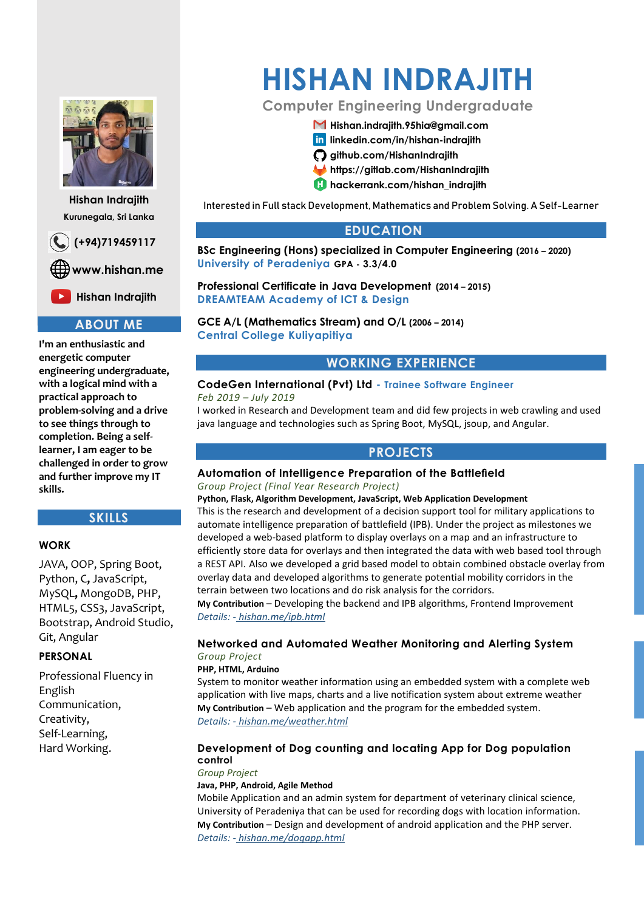

**Hishan Indrajith Kurunegala, Sri Lanka**

 **(+94)719459117**

 **www.hishan.me**

**EX** Hishan Indrajith

## **ABOUT ME**

**I'm an enthusiastic and energetic computer engineering undergraduate, with a logical mind with a practical approach to problem-solving and a drive to see things through to completion. Being a selflearner, I am eager to be challenged in order to grow and further improve my IT skills.**

#### **SKILLS**

#### **WORK**

JAVA, OOP, Spring Boot, Python, C**,** JavaScript, MySQL**,** MongoDB, PHP, HTML5, CSS3, JavaScript, Bootstrap, Android Studio, Git, Angular

#### **PERSONAL**

Professional Fluency in English Communication, Creativity, Self-Learning, Hard Working.

# **HISHAN INDRAJITH**

# **Computer Engineering Undergraduate**

#### **[Hishan.indrajith.95hia@gmail.com](mailto:Hishan.indrajith.95hia@gmail.com)**

- **lin** linkedin.com/in/hishan-indrajith
- **github.com/HishanIndrajith**
- **https://gitlab.com/HishanIndrajith**
- **hackerrank.com/hishan\_indrajith**

Interested in Full stack Development, Mathematics and Problem Solving. A Self-Learner

# **EDUCATION**

**BSc Engineering (Hons) specialized in Computer Engineering (2016 – 2020) University of Peradeniya GPA - 3.3/4.0**

**Professional Certificate in Java Development (2014 – 2015) DREAMTEAM Academy of ICT & Design** 

**GCE A/L (Mathematics Stream) and O/L (2006 – 2014) Central College Kuliyapitiya**

# **WORKING EXPERIENCE**

# **CodeGen International (Pvt) Ltd - Trainee Software Engineer**

*Feb 2019 – July 2019* 

I worked in Research and Development team and did few projects in web crawling and used java language and technologies such as Spring Boot, MySQL, jsoup, and Angular.

## **PROJECTS**

# **Automation of Intelligence Preparation of the Battlefield**

*Group Project (Final Year Research Project)*

**Python, Flask, Algorithm Development, JavaScript, Web Application Development** This is the research and development of a decision support tool for military applications to automate intelligence preparation of battlefield (IPB). Under the project as milestones we developed a web-based platform to display overlays on a map and an infrastructure to efficiently store data for overlays and then integrated the data with web based tool through a REST API. Also we developed a grid based model to obtain combined obstacle overlay from overlay data and developed algorithms to generate potential mobility corridors in the terrain between two locations and do risk analysis for the corridors.

**My Contribution** – Developing the backend and IPB algorithms, Frontend Improvement *Details: - hishan.me/ipb.html*

# **Networked and Automated Weather Monitoring and Alerting System**

#### *Group Project* **PHP, HTML, Arduino**

System to monitor weather information using an embedded system with a complete web application with live maps, charts and a live notification system about extreme weather **My Contribution** – Web application and the program for the embedded system. *Details: - hishan.me/weather.html*

#### **Development of Dog counting and locating App for Dog population control**

*Group Project*

**Java, PHP, Android, Agile Method**

Mobile Application and an admin system for department of veterinary clinical science, University of Peradeniya that can be used for recording dogs with location information. **My Contribution** – Design and development of android application and the PHP server. *Details: - hishan.me/dogapp.html*